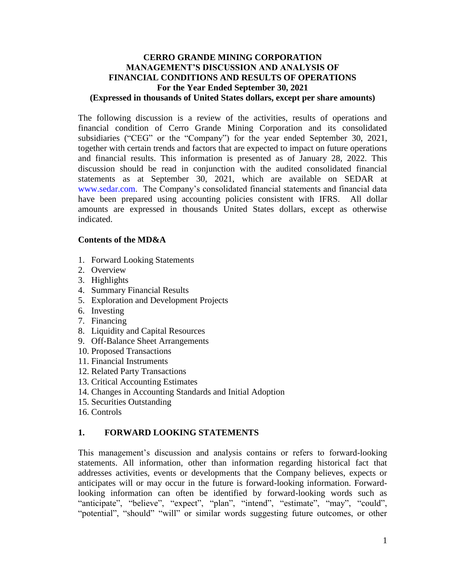### **CERRO GRANDE MINING CORPORATION MANAGEMENT'S DISCUSSION AND ANALYSIS OF FINANCIAL CONDITIONS AND RESULTS OF OPERATIONS For the Year Ended September 30, 2021 (Expressed in thousands of United States dollars, except per share amounts)**

The following discussion is a review of the activities, results of operations and financial condition of Cerro Grande Mining Corporation and its consolidated subsidiaries ("CEG" or the "Company") for the year ended September 30, 2021, together with certain trends and factors that are expected to impact on future operations and financial results. This information is presented as of January 28, 2022. This discussion should be read in conjunction with the audited consolidated financial statements as at September 30, 2021, which are available on SEDAR at www.sedar.com. The Company's consolidated financial statements and financial data have been prepared using accounting policies consistent with IFRS. All dollar amounts are expressed in thousands United States dollars, except as otherwise indicated.

### **Contents of the MD&A**

- 1. Forward Looking Statements
- 2. Overview
- 3. Highlights
- 4. Summary Financial Results
- 5. Exploration and Development Projects
- 6. Investing
- 7. Financing
- 8. Liquidity and Capital Resources
- 9. Off-Balance Sheet Arrangements
- 10. Proposed Transactions
- 11. Financial Instruments
- 12. Related Party Transactions
- 13. Critical Accounting Estimates
- 14. Changes in Accounting Standards and Initial Adoption
- 15. Securities Outstanding
- 16. Controls

## **1. FORWARD LOOKING STATEMENTS**

This management's discussion and analysis contains or refers to forward-looking statements. All information, other than information regarding historical fact that addresses activities, events or developments that the Company believes, expects or anticipates will or may occur in the future is forward-looking information. Forwardlooking information can often be identified by forward-looking words such as "anticipate", "believe", "expect", "plan", "intend", "estimate", "may", "could", "potential", "should" "will" or similar words suggesting future outcomes, or other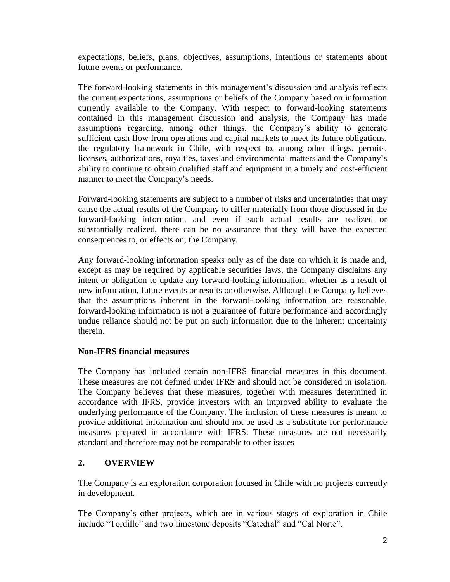expectations, beliefs, plans, objectives, assumptions, intentions or statements about future events or performance.

The forward-looking statements in this management's discussion and analysis reflects the current expectations, assumptions or beliefs of the Company based on information currently available to the Company. With respect to forward-looking statements contained in this management discussion and analysis, the Company has made assumptions regarding, among other things, the Company's ability to generate sufficient cash flow from operations and capital markets to meet its future obligations, the regulatory framework in Chile, with respect to, among other things, permits, licenses, authorizations, royalties, taxes and environmental matters and the Company's ability to continue to obtain qualified staff and equipment in a timely and cost-efficient manner to meet the Company's needs.

Forward-looking statements are subject to a number of risks and uncertainties that may cause the actual results of the Company to differ materially from those discussed in the forward-looking information, and even if such actual results are realized or substantially realized, there can be no assurance that they will have the expected consequences to, or effects on, the Company.

Any forward-looking information speaks only as of the date on which it is made and, except as may be required by applicable securities laws, the Company disclaims any intent or obligation to update any forward-looking information, whether as a result of new information, future events or results or otherwise. Although the Company believes that the assumptions inherent in the forward-looking information are reasonable, forward-looking information is not a guarantee of future performance and accordingly undue reliance should not be put on such information due to the inherent uncertainty therein.

## **Non-IFRS financial measures**

The Company has included certain non-IFRS financial measures in this document. These measures are not defined under IFRS and should not be considered in isolation. The Company believes that these measures, together with measures determined in accordance with IFRS, provide investors with an improved ability to evaluate the underlying performance of the Company. The inclusion of these measures is meant to provide additional information and should not be used as a substitute for performance measures prepared in accordance with IFRS. These measures are not necessarily standard and therefore may not be comparable to other issues

# **2. OVERVIEW**

The Company is an exploration corporation focused in Chile with no projects currently in development.

The Company's other projects, which are in various stages of exploration in Chile include "Tordillo" and two limestone deposits "Catedral" and "Cal Norte".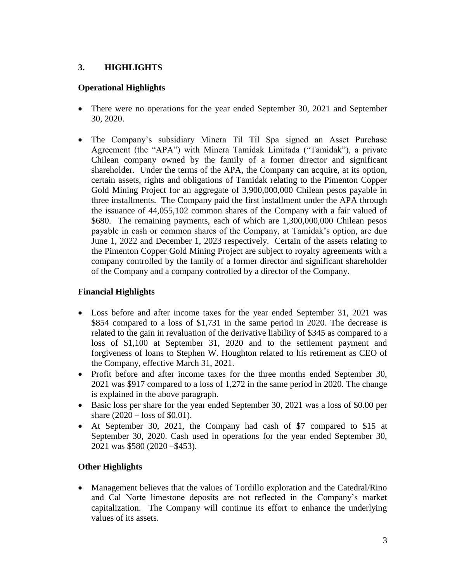## **3. HIGHLIGHTS**

## **Operational Highlights**

- There were no operations for the year ended September 30, 2021 and September 30, 2020.
- The Company's subsidiary Minera Til Til Spa signed an Asset Purchase Agreement (the "APA") with Minera Tamidak Limitada ("Tamidak"), a private Chilean company owned by the family of a former director and significant shareholder. Under the terms of the APA, the Company can acquire, at its option, certain assets, rights and obligations of Tamidak relating to the Pimenton Copper Gold Mining Project for an aggregate of 3,900,000,000 Chilean pesos payable in three installments. The Company paid the first installment under the APA through the issuance of 44,055,102 common shares of the Company with a fair valued of \$680. The remaining payments, each of which are 1,300,000,000 Chilean pesos payable in cash or common shares of the Company, at Tamidak's option, are due June 1, 2022 and December 1, 2023 respectively. Certain of the assets relating to the Pimenton Copper Gold Mining Project are subject to royalty agreements with a company controlled by the family of a former director and significant shareholder of the Company and a company controlled by a director of the Company.

# **Financial Highlights**

- Loss before and after income taxes for the year ended September 31, 2021 was \$854 compared to a loss of \$1,731 in the same period in 2020. The decrease is related to the gain in revaluation of the derivative liability of \$345 as compared to a loss of \$1,100 at September 31, 2020 and to the settlement payment and forgiveness of loans to Stephen W. Houghton related to his retirement as CEO of the Company, effective March 31, 2021.
- Profit before and after income taxes for the three months ended September 30, 2021 was \$917 compared to a loss of 1,272 in the same period in 2020. The change is explained in the above paragraph.
- Basic loss per share for the year ended September 30, 2021 was a loss of \$0.00 per share  $(2020 - \text{loss of } $0.01)$ .
- At September 30, 2021, the Company had cash of \$7 compared to \$15 at September 30, 2020. Cash used in operations for the year ended September 30, 2021 was \$580 (2020 –\$453).

# **Other Highlights**

• Management believes that the values of Tordillo exploration and the Catedral/Rino and Cal Norte limestone deposits are not reflected in the Company's market capitalization. The Company will continue its effort to enhance the underlying values of its assets.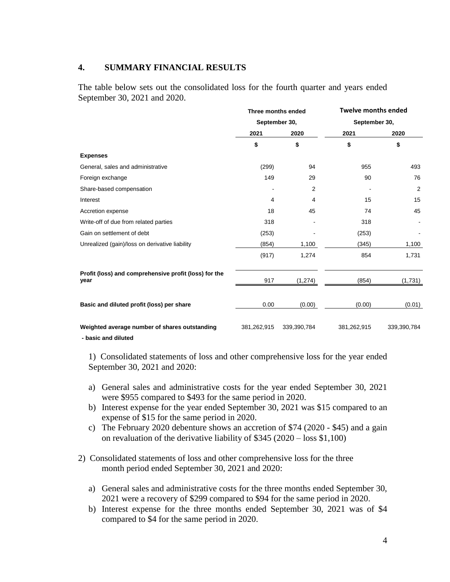#### **4. SUMMARY FINANCIAL RESULTS**

The table below sets out the consolidated loss for the fourth quarter and years ended September 30, 2021 and 2020.

|                                                               | Three months ended<br>September 30, |                |               | <b>Twelve months ended</b> |  |
|---------------------------------------------------------------|-------------------------------------|----------------|---------------|----------------------------|--|
|                                                               |                                     |                | September 30, |                            |  |
|                                                               | 2021                                | 2020           | 2021          | 2020                       |  |
|                                                               | \$                                  | \$             | \$            | \$                         |  |
| <b>Expenses</b>                                               |                                     |                |               |                            |  |
| General, sales and administrative                             | (299)                               | 94             | 955           | 493                        |  |
| Foreign exchange                                              | 149                                 | 29             | 90            | 76                         |  |
| Share-based compensation                                      |                                     | $\overline{2}$ |               | $\overline{2}$             |  |
| Interest                                                      | 4                                   | 4              | 15            | 15                         |  |
| Accretion expense                                             | 18                                  | 45             | 74            | 45                         |  |
| Write-off of due from related parties                         | 318                                 |                | 318           |                            |  |
| Gain on settlement of debt                                    | (253)                               |                | (253)         |                            |  |
| Unrealized (gain)/loss on derivative liability                | (854)                               | 1,100          | (345)         | 1,100                      |  |
|                                                               | (917)                               | 1,274          | 854           | 1,731                      |  |
| Profit (loss) and comprehensive profit (loss) for the<br>year | 917                                 | (1, 274)       | (854)         | (1,731)                    |  |
| Basic and diluted profit (loss) per share                     | 0.00                                | (0.00)         | (0.00)        | (0.01)                     |  |
| Weighted average number of shares outstanding                 | 381,262,915                         | 339,390,784    | 381,262,915   | 339,390,784                |  |

**- basic and diluted**

1) Consolidated statements of loss and other comprehensive loss for the year ended September 30, 2021 and 2020:

- a) General sales and administrative costs for the year ended September 30, 2021 were \$955 compared to \$493 for the same period in 2020.
- b) Interest expense for the year ended September 30, 2021 was \$15 compared to an expense of \$15 for the same period in 2020.
- c) The February 2020 debenture shows an accretion of \$74 (2020 \$45) and a gain on revaluation of the derivative liability of \$345 (2020 – loss \$1,100)
- 2) Consolidated statements of loss and other comprehensive loss for the three month period ended September 30, 2021 and 2020:
	- a) General sales and administrative costs for the three months ended September 30, 2021 were a recovery of \$299 compared to \$94 for the same period in 2020.
	- b) Interest expense for the three months ended September 30, 2021 was of \$4 compared to \$4 for the same period in 2020.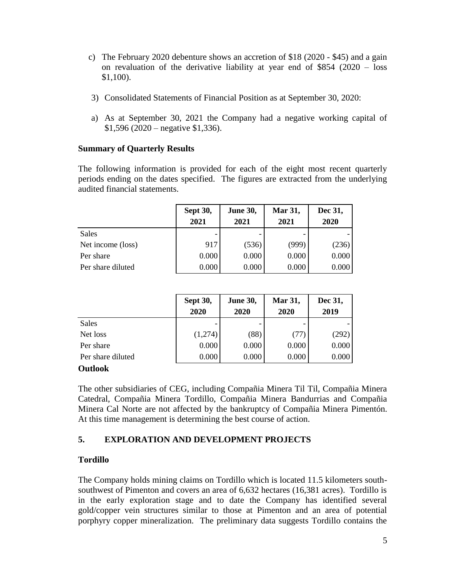- c) The February 2020 debenture shows an accretion of \$18 (2020 \$45) and a gain on revaluation of the derivative liability at year end of \$854 (2020 – loss \$1,100).
- 3) Consolidated Statements of Financial Position as at September 30, 2020:
- a) As at September 30, 2021 the Company had a negative working capital of  $$1,596 (2020 - negative $1,336).$

### **Summary of Quarterly Results**

The following information is provided for each of the eight most recent quarterly periods ending on the dates specified. The figures are extracted from the underlying audited financial statements.

|                   | <b>Sept 30,</b><br>2021 | <b>June 30,</b><br>2021 | Mar 31,<br>2021 | Dec 31,<br>2020 |
|-------------------|-------------------------|-------------------------|-----------------|-----------------|
| <b>Sales</b>      |                         |                         |                 |                 |
| Net income (loss) | 917                     | (536)                   | (999)           | (236)           |
| Per share         | 0.000                   | 0.000                   | 0.000           | 0.000           |
| Per share diluted | 0.000                   | 0.000                   | 0.000           | 0.000           |

|                   | <b>Sept 30,</b><br>2020 | <b>June 30,</b><br>2020 | Mar 31,<br>2020 | Dec 31,<br>2019 |
|-------------------|-------------------------|-------------------------|-----------------|-----------------|
| Sales             |                         |                         |                 |                 |
| Net loss          | (1,274)                 | (88)                    | (77)            | (292)           |
| Per share         | 0.000                   | 0.000                   | 0.000           | 0.000           |
| Per share diluted | 0.000                   | 0.000                   | 0.000           | 0.000           |

#### **Outlook**

The other subsidiaries of CEG, including Compañia Minera Til Til, Compañia Minera Catedral, Compañia Minera Tordillo, Compañia Minera Bandurrias and Compañia Minera Cal Norte are not affected by the bankruptcy of Compañia Minera Pimentón. At this time management is determining the best course of action.

# **5. EXPLORATION AND DEVELOPMENT PROJECTS**

## **Tordillo**

The Company holds mining claims on Tordillo which is located 11.5 kilometers southsouthwest of Pimenton and covers an area of 6,632 hectares (16,381 acres). Tordillo is in the early exploration stage and to date the Company has identified several gold/copper vein structures similar to those at Pimenton and an area of potential porphyry copper mineralization. The preliminary data suggests Tordillo contains the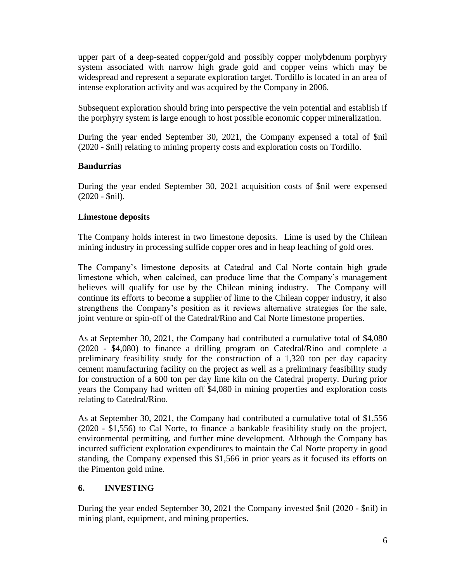upper part of a deep-seated copper/gold and possibly copper molybdenum porphyry system associated with narrow high grade gold and copper veins which may be widespread and represent a separate exploration target. Tordillo is located in an area of intense exploration activity and was acquired by the Company in 2006.

Subsequent exploration should bring into perspective the vein potential and establish if the porphyry system is large enough to host possible economic copper mineralization.

During the year ended September 30, 2021, the Company expensed a total of \$nil (2020 - \$nil) relating to mining property costs and exploration costs on Tordillo.

## **Bandurrias**

During the year ended September 30, 2021 acquisition costs of \$nil were expensed (2020 - \$nil).

## **Limestone deposits**

The Company holds interest in two limestone deposits. Lime is used by the Chilean mining industry in processing sulfide copper ores and in heap leaching of gold ores.

The Company's limestone deposits at Catedral and Cal Norte contain high grade limestone which, when calcined, can produce lime that the Company's management believes will qualify for use by the Chilean mining industry. The Company will continue its efforts to become a supplier of lime to the Chilean copper industry, it also strengthens the Company's position as it reviews alternative strategies for the sale, joint venture or spin-off of the Catedral/Rino and Cal Norte limestone properties.

As at September 30, 2021, the Company had contributed a cumulative total of \$4,080 (2020 - \$4,080) to finance a drilling program on Catedral/Rino and complete a preliminary feasibility study for the construction of a 1,320 ton per day capacity cement manufacturing facility on the project as well as a preliminary feasibility study for construction of a 600 ton per day lime kiln on the Catedral property. During prior years the Company had written off \$4,080 in mining properties and exploration costs relating to Catedral/Rino.

As at September 30, 2021, the Company had contributed a cumulative total of \$1,556 (2020 - \$1,556) to Cal Norte, to finance a bankable feasibility study on the project, environmental permitting, and further mine development. Although the Company has incurred sufficient exploration expenditures to maintain the Cal Norte property in good standing, the Company expensed this \$1,566 in prior years as it focused its efforts on the Pimenton gold mine.

# **6. INVESTING**

During the year ended September 30, 2021 the Company invested \$nil (2020 - \$nil) in mining plant, equipment, and mining properties.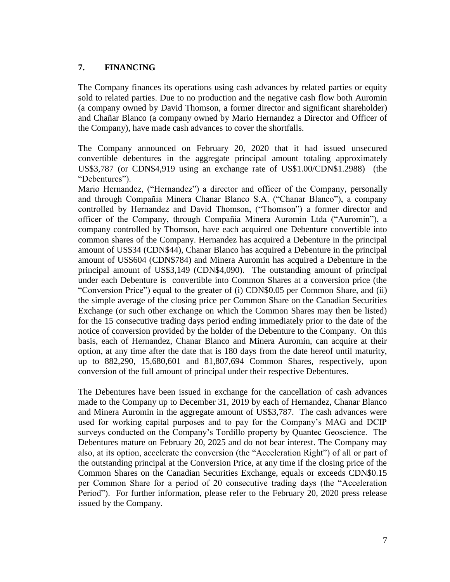### **7. FINANCING**

The Company finances its operations using cash advances by related parties or equity sold to related parties. Due to no production and the negative cash flow both Auromin (a company owned by David Thomson, a former director and significant shareholder) and Chañar Blanco (a company owned by Mario Hernandez a Director and Officer of the Company), have made cash advances to cover the shortfalls.

The Company announced on February 20, 2020 that it had issued unsecured convertible debentures in the aggregate principal amount totaling approximately US\$3,787 (or CDN\$4,919 using an exchange rate of US\$1.00/CDN\$1.2988) (the "Debentures").

Mario Hernandez, ("Hernandez") a director and officer of the Company, personally and through Compañia Minera Chanar Blanco S.A. ("Chanar Blanco"), a company controlled by Hernandez and David Thomson, ("Thomson") a former director and officer of the Company, through Compañia Minera Auromin Ltda ("Auromin"), a company controlled by Thomson, have each acquired one Debenture convertible into common shares of the Company. Hernandez has acquired a Debenture in the principal amount of US\$34 (CDN\$44), Chanar Blanco has acquired a Debenture in the principal amount of US\$604 (CDN\$784) and Minera Auromin has acquired a Debenture in the principal amount of US\$3,149 (CDN\$4,090). The outstanding amount of principal under each Debenture is convertible into Common Shares at a conversion price (the "Conversion Price") equal to the greater of (i) CDN\$0.05 per Common Share, and (ii) the simple average of the closing price per Common Share on the Canadian Securities Exchange (or such other exchange on which the Common Shares may then be listed) for the 15 consecutive trading days period ending immediately prior to the date of the notice of conversion provided by the holder of the Debenture to the Company. On this basis, each of Hernandez, Chanar Blanco and Minera Auromin, can acquire at their option, at any time after the date that is 180 days from the date hereof until maturity, up to 882,290, 15,680,601 and 81,807,694 Common Shares, respectively, upon conversion of the full amount of principal under their respective Debentures.

The Debentures have been issued in exchange for the cancellation of cash advances made to the Company up to December 31, 2019 by each of Hernandez, Chanar Blanco and Minera Auromin in the aggregate amount of US\$3,787. The cash advances were used for working capital purposes and to pay for the Company's MAG and DCIP surveys conducted on the Company's Tordillo property by Quantec Geoscience. The Debentures mature on February 20, 2025 and do not bear interest. The Company may also, at its option, accelerate the conversion (the "Acceleration Right") of all or part of the outstanding principal at the Conversion Price, at any time if the closing price of the Common Shares on the Canadian Securities Exchange, equals or exceeds CDN\$0.15 per Common Share for a period of 20 consecutive trading days (the "Acceleration Period"). For further information, please refer to the February 20, 2020 press release issued by the Company.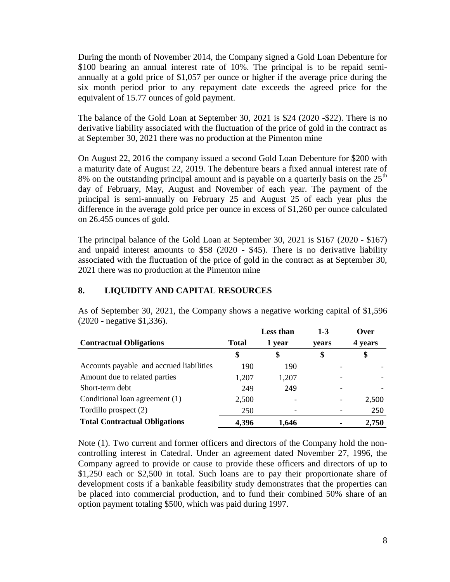During the month of November 2014, the Company signed a Gold Loan Debenture for \$100 bearing an annual interest rate of 10%. The principal is to be repaid semiannually at a gold price of \$1,057 per ounce or higher if the average price during the six month period prior to any repayment date exceeds the agreed price for the equivalent of 15.77 ounces of gold payment.

The balance of the Gold Loan at September 30, 2021 is \$24 (2020 -\$22). There is no derivative liability associated with the fluctuation of the price of gold in the contract as at September 30, 2021 there was no production at the Pimenton mine

On August 22, 2016 the company issued a second Gold Loan Debenture for \$200 with a maturity date of August 22, 2019. The debenture bears a fixed annual interest rate of 8% on the outstanding principal amount and is payable on a quarterly basis on the  $25<sup>th</sup>$ day of February, May, August and November of each year. The payment of the principal is semi-annually on February 25 and August 25 of each year plus the difference in the average gold price per ounce in excess of \$1,260 per ounce calculated on 26.455 ounces of gold.

The principal balance of the Gold Loan at September 30, 2021 is \$167 (2020 - \$167) and unpaid interest amounts to \$58 (2020 - \$45). There is no derivative liability associated with the fluctuation of the price of gold in the contract as at September 30, 2021 there was no production at the Pimenton mine

## **8. LIQUIDITY AND CAPITAL RESOURCES**

|                                          |       | Less than | $1-3$ | Over    |
|------------------------------------------|-------|-----------|-------|---------|
| <b>Contractual Obligations</b>           | Total | 1 year    | vears | 4 years |
|                                          | \$    | \$        | \$    | \$      |
| Accounts payable and accrued liabilities | 190   | 190       |       |         |
| Amount due to related parties            | 1,207 | 1,207     |       |         |
| Short-term debt                          | 249   | 249       |       |         |
| Conditional loan agreement (1)           | 2,500 |           |       | 2,500   |
| Tordillo prospect (2)                    | 250   |           |       | 250     |
| <b>Total Contractual Obligations</b>     | 4,396 | 1.646     |       | 2,750   |

As of September 30, 2021, the Company shows a negative working capital of \$1,596 (2020 - negative \$1,336).

Note (1). Two current and former officers and directors of the Company hold the noncontrolling interest in Catedral. Under an agreement dated November 27, 1996, the Company agreed to provide or cause to provide these officers and directors of up to \$1,250 each or \$2,500 in total. Such loans are to pay their proportionate share of development costs if a bankable feasibility study demonstrates that the properties can be placed into commercial production, and to fund their combined 50% share of an option payment totaling \$500, which was paid during 1997.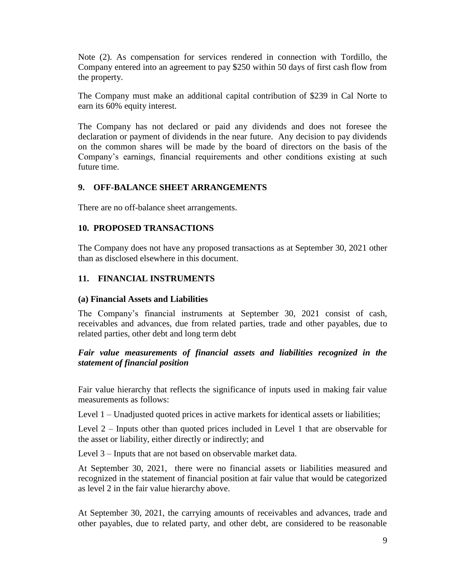Note (2). As compensation for services rendered in connection with Tordillo, the Company entered into an agreement to pay \$250 within 50 days of first cash flow from the property.

The Company must make an additional capital contribution of \$239 in Cal Norte to earn its 60% equity interest.

The Company has not declared or paid any dividends and does not foresee the declaration or payment of dividends in the near future. Any decision to pay dividends on the common shares will be made by the board of directors on the basis of the Company's earnings, financial requirements and other conditions existing at such future time.

### **9. OFF-BALANCE SHEET ARRANGEMENTS**

There are no off-balance sheet arrangements.

#### **10. PROPOSED TRANSACTIONS**

The Company does not have any proposed transactions as at September 30, 2021 other than as disclosed elsewhere in this document.

### **11. FINANCIAL INSTRUMENTS**

#### **(a) Financial Assets and Liabilities**

The Company's financial instruments at September 30, 2021 consist of cash, receivables and advances, due from related parties, trade and other payables, due to related parties, other debt and long term debt

### *Fair value measurements of financial assets and liabilities recognized in the statement of financial position*

Fair value hierarchy that reflects the significance of inputs used in making fair value measurements as follows:

Level 1 – Unadjusted quoted prices in active markets for identical assets or liabilities;

Level 2 – Inputs other than quoted prices included in Level 1 that are observable for the asset or liability, either directly or indirectly; and

Level 3 – Inputs that are not based on observable market data.

At September 30, 2021, there were no financial assets or liabilities measured and recognized in the statement of financial position at fair value that would be categorized as level 2 in the fair value hierarchy above.

At September 30, 2021, the carrying amounts of receivables and advances, trade and other payables, due to related party, and other debt, are considered to be reasonable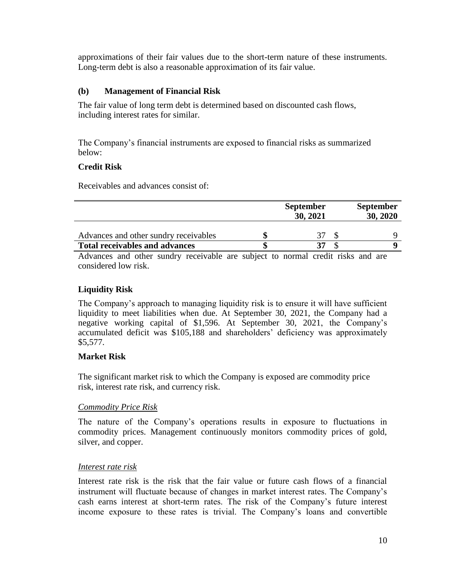approximations of their fair values due to the short-term nature of these instruments. Long-term debt is also a reasonable approximation of its fair value.

## **(b) Management of Financial Risk**

The fair value of long term debt is determined based on discounted cash flows, including interest rates for similar.

The Company's financial instruments are exposed to financial risks as summarized below:

## **Credit Risk**

Receivables and advances consist of:

|                                       | <b>September</b><br>30, 2021 |  |  | <b>September</b><br>30, 2020 |
|---------------------------------------|------------------------------|--|--|------------------------------|
| Advances and other sundry receivables |                              |  |  |                              |
| <b>Total receivables and advances</b> |                              |  |  |                              |

Advances and other sundry receivable are subject to normal credit risks and are considered low risk.

# **Liquidity Risk**

The Company's approach to managing liquidity risk is to ensure it will have sufficient liquidity to meet liabilities when due. At September 30, 2021, the Company had a negative working capital of \$1,596. At September 30, 2021, the Company's accumulated deficit was \$105,188 and shareholders' deficiency was approximately \$5,577.

## **Market Risk**

The significant market risk to which the Company is exposed are commodity price risk, interest rate risk, and currency risk.

## *Commodity Price Risk*

The nature of the Company's operations results in exposure to fluctuations in commodity prices. Management continuously monitors commodity prices of gold, silver, and copper.

## *Interest rate risk*

Interest rate risk is the risk that the fair value or future cash flows of a financial instrument will fluctuate because of changes in market interest rates. The Company's cash earns interest at short-term rates. The risk of the Company's future interest income exposure to these rates is trivial. The Company's loans and convertible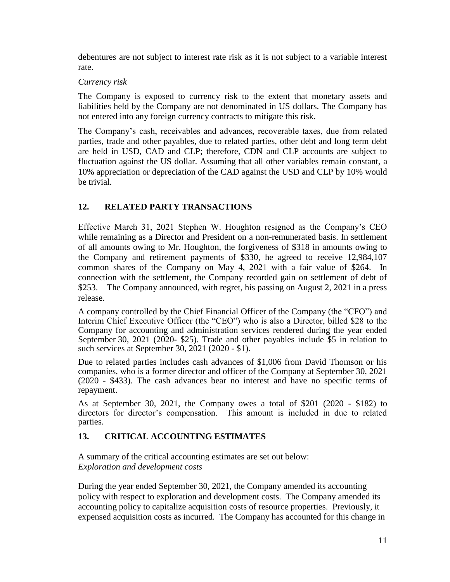debentures are not subject to interest rate risk as it is not subject to a variable interest rate.

## *Currency risk*

The Company is exposed to currency risk to the extent that monetary assets and liabilities held by the Company are not denominated in US dollars. The Company has not entered into any foreign currency contracts to mitigate this risk.

The Company's cash, receivables and advances, recoverable taxes, due from related parties, trade and other payables, due to related parties, other debt and long term debt are held in USD, CAD and CLP; therefore, CDN and CLP accounts are subject to fluctuation against the US dollar. Assuming that all other variables remain constant, a 10% appreciation or depreciation of the CAD against the USD and CLP by 10% would be trivial.

# **12. RELATED PARTY TRANSACTIONS**

Effective March 31, 2021 Stephen W. Houghton resigned as the Company's CEO while remaining as a Director and President on a non-remunerated basis. In settlement of all amounts owing to Mr. Houghton, the forgiveness of \$318 in amounts owing to the Company and retirement payments of \$330, he agreed to receive 12,984,107 common shares of the Company on May 4, 2021 with a fair value of \$264. In connection with the settlement, the Company recorded gain on settlement of debt of \$253. The Company announced, with regret, his passing on August 2, 2021 in a press release.

A company controlled by the Chief Financial Officer of the Company (the "CFO") and Interim Chief Executive Officer (the "CEO") who is also a Director, billed \$28 to the Company for accounting and administration services rendered during the year ended September 30, 2021 (2020- \$25). Trade and other payables include \$5 in relation to such services at September 30, 2021 (2020 - \$1).

Due to related parties includes cash advances of \$1,006 from David Thomson or his companies, who is a former director and officer of the Company at September 30, 2021 (2020 - \$433). The cash advances bear no interest and have no specific terms of repayment.

As at September 30, 2021, the Company owes a total of \$201 (2020 - \$182) to directors for director's compensation. This amount is included in due to related parties.

# **13. CRITICAL ACCOUNTING ESTIMATES**

A summary of the critical accounting estimates are set out below: *Exploration and development costs*

During the year ended September 30, 2021, the Company amended its accounting policy with respect to exploration and development costs. The Company amended its accounting policy to capitalize acquisition costs of resource properties. Previously, it expensed acquisition costs as incurred. The Company has accounted for this change in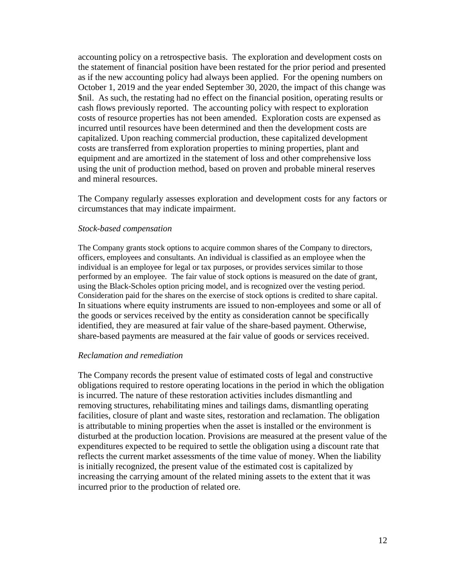accounting policy on a retrospective basis. The exploration and development costs on the statement of financial position have been restated for the prior period and presented as if the new accounting policy had always been applied. For the opening numbers on October 1, 2019 and the year ended September 30, 2020, the impact of this change was \$nil. As such, the restating had no effect on the financial position, operating results or cash flows previously reported. The accounting policy with respect to exploration costs of resource properties has not been amended. Exploration costs are expensed as incurred until resources have been determined and then the development costs are capitalized. Upon reaching commercial production, these capitalized development costs are transferred from exploration properties to mining properties, plant and equipment and are amortized in the statement of loss and other comprehensive loss using the unit of production method, based on proven and probable mineral reserves and mineral resources.

The Company regularly assesses exploration and development costs for any factors or circumstances that may indicate impairment.

#### *Stock-based compensation*

The Company grants stock options to acquire common shares of the Company to directors, officers, employees and consultants. An individual is classified as an employee when the individual is an employee for legal or tax purposes, or provides services similar to those performed by an employee. The fair value of stock options is measured on the date of grant, using the Black-Scholes option pricing model, and is recognized over the vesting period. Consideration paid for the shares on the exercise of stock options is credited to share capital. In situations where equity instruments are issued to non-employees and some or all of the goods or services received by the entity as consideration cannot be specifically identified, they are measured at fair value of the share-based payment. Otherwise, share-based payments are measured at the fair value of goods or services received.

#### *Reclamation and remediation*

The Company records the present value of estimated costs of legal and constructive obligations required to restore operating locations in the period in which the obligation is incurred. The nature of these restoration activities includes dismantling and removing structures, rehabilitating mines and tailings dams, dismantling operating facilities, closure of plant and waste sites, restoration and reclamation. The obligation is attributable to mining properties when the asset is installed or the environment is disturbed at the production location. Provisions are measured at the present value of the expenditures expected to be required to settle the obligation using a discount rate that reflects the current market assessments of the time value of money. When the liability is initially recognized, the present value of the estimated cost is capitalized by increasing the carrying amount of the related mining assets to the extent that it was incurred prior to the production of related ore.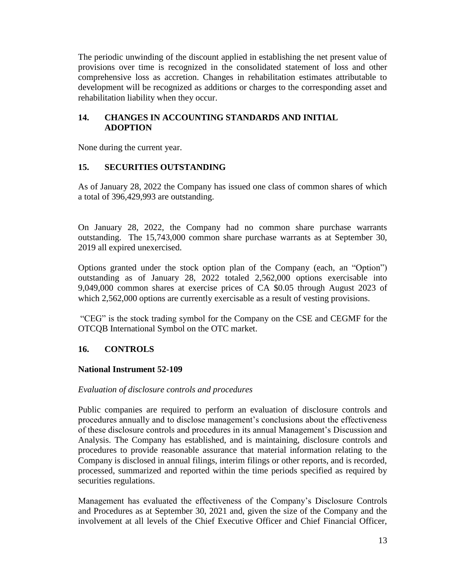The periodic unwinding of the discount applied in establishing the net present value of provisions over time is recognized in the consolidated statement of loss and other comprehensive loss as accretion. Changes in rehabilitation estimates attributable to development will be recognized as additions or charges to the corresponding asset and rehabilitation liability when they occur.

## **14. CHANGES IN ACCOUNTING STANDARDS AND INITIAL ADOPTION**

None during the current year.

## **15. SECURITIES OUTSTANDING**

As of January 28, 2022 the Company has issued one class of common shares of which a total of 396,429,993 are outstanding.

On January 28, 2022, the Company had no common share purchase warrants outstanding. The 15,743,000 common share purchase warrants as at September 30, 2019 all expired unexercised.

Options granted under the stock option plan of the Company (each, an "Option") outstanding as of January 28, 2022 totaled 2,562,000 options exercisable into 9,049,000 common shares at exercise prices of CA \$0.05 through August 2023 of which 2,562,000 options are currently exercisable as a result of vesting provisions.

"CEG" is the stock trading symbol for the Company on the CSE and CEGMF for the OTCQB International Symbol on the OTC market.

# **16. CONTROLS**

## **National Instrument 52-109**

#### *Evaluation of disclosure controls and procedures*

Public companies are required to perform an evaluation of disclosure controls and procedures annually and to disclose management's conclusions about the effectiveness of these disclosure controls and procedures in its annual Management's Discussion and Analysis. The Company has established, and is maintaining, disclosure controls and procedures to provide reasonable assurance that material information relating to the Company is disclosed in annual filings, interim filings or other reports, and is recorded, processed, summarized and reported within the time periods specified as required by securities regulations.

Management has evaluated the effectiveness of the Company's Disclosure Controls and Procedures as at September 30, 2021 and, given the size of the Company and the involvement at all levels of the Chief Executive Officer and Chief Financial Officer,